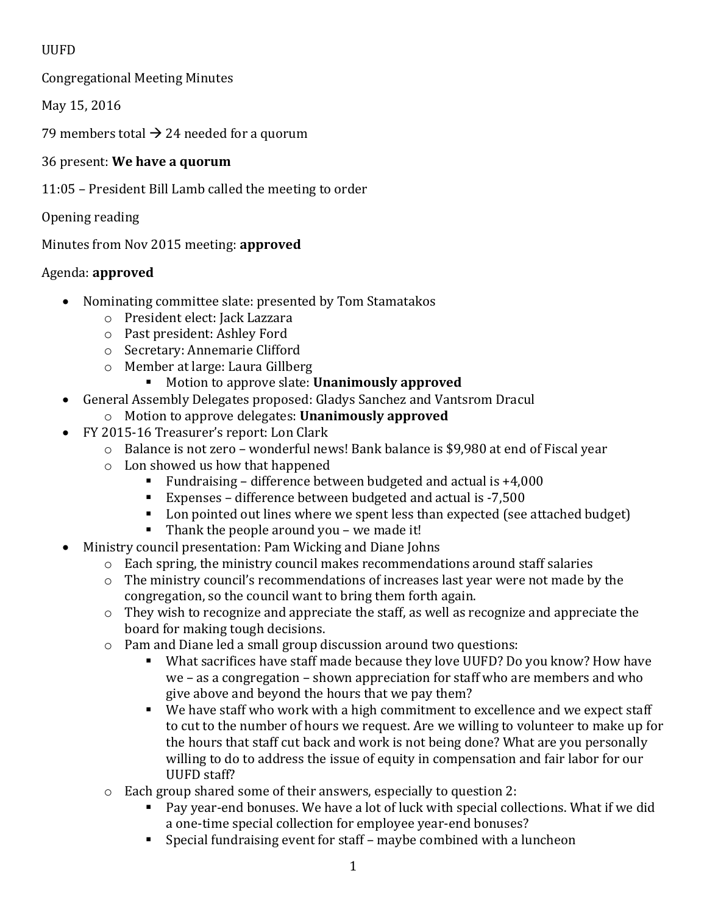## UUFD

Congregational Meeting Minutes

May 15, 2016

79 members total  $\rightarrow$  24 needed for a quorum

## 36 present: **We have a quorum**

11:05 – President Bill Lamb called the meeting to order

Opening reading

Minutes from Nov 2015 meeting: **approved**

# Agenda: **approved**

- Nominating committee slate: presented by Tom Stamatakos
	- o President elect: Jack Lazzara
	- o Past president: Ashley Ford
	- o Secretary: Annemarie Clifford
	- o Member at large: Laura Gillberg
		- Motion to approve slate: **Unanimously approved**
- General Assembly Delegates proposed: Gladys Sanchez and Vantsrom Dracul
	- o Motion to approve delegates: **Unanimously approved**
- FY 2015-16 Treasurer's report: Lon Clark
	- o Balance is not zero wonderful news! Bank balance is \$9,980 at end of Fiscal year
	- o Lon showed us how that happened
		- Fundraising difference between budgeted and actual is  $+4,000$
		- Expenses difference between budgeted and actual is -7,500
		- Lon pointed out lines where we spent less than expected (see attached budget)
		- Thank the people around you we made it!
- Ministry council presentation: Pam Wicking and Diane Johns
	- o Each spring, the ministry council makes recommendations around staff salaries
	- o The ministry council's recommendations of increases last year were not made by the congregation, so the council want to bring them forth again.
	- o They wish to recognize and appreciate the staff, as well as recognize and appreciate the board for making tough decisions.
	- o Pam and Diane led a small group discussion around two questions:
		- What sacrifices have staff made because they love UUFD? Do you know? How have we – as a congregation – shown appreciation for staff who are members and who give above and beyond the hours that we pay them?
		- We have staff who work with a high commitment to excellence and we expect staff to cut to the number of hours we request. Are we willing to volunteer to make up for the hours that staff cut back and work is not being done? What are you personally willing to do to address the issue of equity in compensation and fair labor for our UUFD staff?
	- o Each group shared some of their answers, especially to question 2:
		- Pay year-end bonuses. We have a lot of luck with special collections. What if we did a one-time special collection for employee year-end bonuses?
		- Special fundraising event for staff maybe combined with a luncheon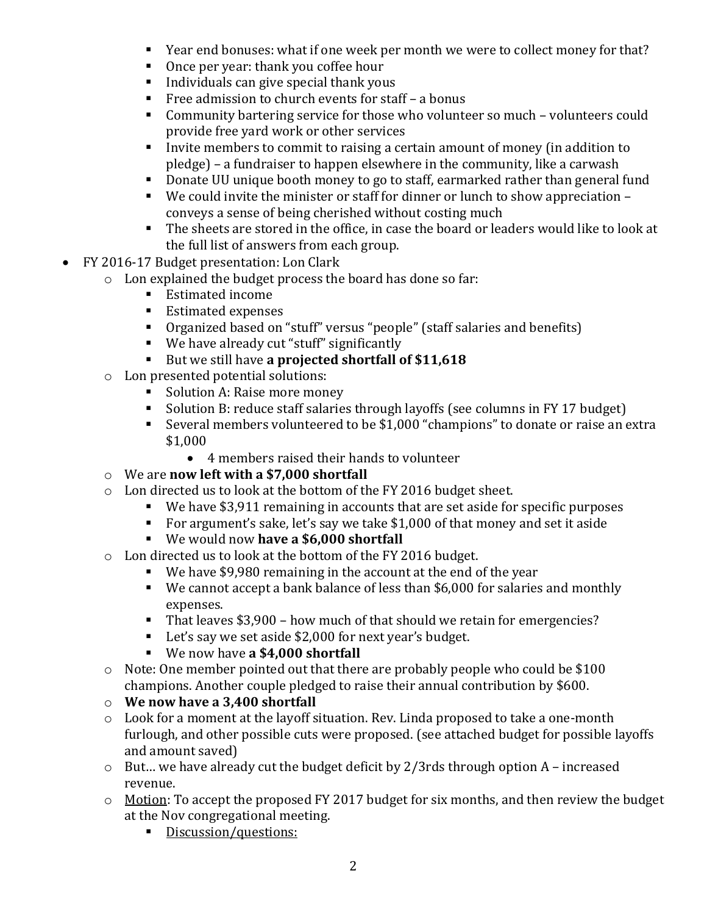- Year end bonuses: what if one week per month we were to collect money for that?
- Once per year: thank you coffee hour
- Individuals can give special thank yous
- Free admission to church events for staff a bonus
- Community bartering service for those who volunteer so much volunteers could provide free yard work or other services
- Invite members to commit to raising a certain amount of money (in addition to pledge) – a fundraiser to happen elsewhere in the community, like a carwash
- Donate UU unique booth money to go to staff, earmarked rather than general fund
- We could invite the minister or staff for dinner or lunch to show appreciation conveys a sense of being cherished without costing much
- The sheets are stored in the office, in case the board or leaders would like to look at the full list of answers from each group.
- FY 2016-17 Budget presentation: Lon Clark
	- o Lon explained the budget process the board has done so far:
		- Estimated income
		- Estimated expenses
		- Organized based on "stuff" versus "people" (staff salaries and benefits)
		- We have already cut "stuff" significantly
		- But we still have a projected shortfall of \$11,618
	- o Lon presented potential solutions:
		- Solution A: Raise more money
		- Solution B: reduce staff salaries through layoffs (see columns in FY 17 budget)
		- Several members volunteered to be \$1,000 "champions" to donate or raise an extra \$1,000
			- 4 members raised their hands to volunteer
	- o We are **now left with a \$7,000 shortfall**
	- o Lon directed us to look at the bottom of the FY 2016 budget sheet.
		- We have \$3,911 remaining in accounts that are set aside for specific purposes
		- For argument's sake, let's say we take \$1,000 of that money and set it aside
		- We would now **have a \$6,000 shortfall**
	- o Lon directed us to look at the bottom of the FY 2016 budget.
		- We have \$9,980 remaining in the account at the end of the year
		- We cannot accept a bank balance of less than \$6,000 for salaries and monthly expenses.
		- That leaves \$3,900 how much of that should we retain for emergencies?
		- Let's say we set aside \$2,000 for next year's budget.
		- We now have **a \$4,000 shortfall**
	- o Note: One member pointed out that there are probably people who could be \$100 champions. Another couple pledged to raise their annual contribution by \$600.
	- o **We now have a 3,400 shortfall**
	- o Look for a moment at the layoff situation. Rev. Linda proposed to take a one-month furlough, and other possible cuts were proposed. (see attached budget for possible layoffs and amount saved)
	- $\circ$  But... we have already cut the budget deficit by 2/3rds through option A increased revenue.
	- o Motion: To accept the proposed FY 2017 budget for six months, and then review the budget at the Nov congregational meeting.
		- Discussion/questions: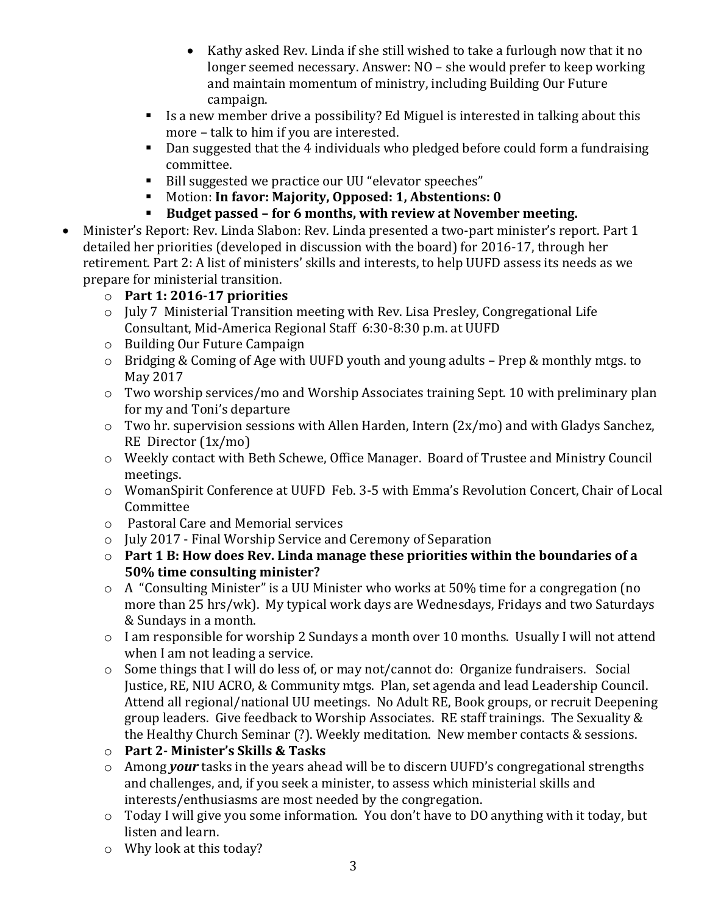- Kathy asked Rev. Linda if she still wished to take a furlough now that it no longer seemed necessary. Answer: NO – she would prefer to keep working and maintain momentum of ministry, including Building Our Future campaign.
- Is a new member drive a possibility? Ed Miguel is interested in talking about this more – talk to him if you are interested.
- Dan suggested that the 4 individuals who pledged before could form a fundraising committee.
- Bill suggested we practice our UU "elevator speeches"
- Motion: **In favor: Majority, Opposed: 1, Abstentions: 0**
- **Budget passed – for 6 months, with review at November meeting.**
- Minister's Report: Rev. Linda Slabon: Rev. Linda presented a two-part minister's report. Part 1 detailed her priorities (developed in discussion with the board) for 2016-17, through her retirement. Part 2: A list of ministers' skills and interests, to help UUFD assess its needs as we prepare for ministerial transition.
	- o **Part 1: 2016-17 priorities**
	- o July 7 Ministerial Transition meeting with Rev. Lisa Presley, Congregational Life Consultant, Mid-America Regional Staff 6:30-8:30 p.m. at UUFD
	- o Building Our Future Campaign
	- o Bridging & Coming of Age with UUFD youth and young adults Prep & monthly mtgs. to May 2017
	- o Two worship services/mo and Worship Associates training Sept. 10 with preliminary plan for my and Toni's departure
	- o Two hr. supervision sessions with Allen Harden, Intern (2x/mo) and with Gladys Sanchez, RE Director (1x/mo)
	- o Weekly contact with Beth Schewe, Office Manager. Board of Trustee and Ministry Council meetings.
	- o WomanSpirit Conference at UUFD Feb. 3-5 with Emma's Revolution Concert, Chair of Local Committee
	- o Pastoral Care and Memorial services
	- o July 2017 Final Worship Service and Ceremony of Separation
	- o **Part 1 B: How does Rev. Linda manage these priorities within the boundaries of a 50% time consulting minister?**
	- o A "Consulting Minister" is a UU Minister who works at 50% time for a congregation (no more than 25 hrs/wk). My typical work days are Wednesdays, Fridays and two Saturdays & Sundays in a month.
	- o I am responsible for worship 2 Sundays a month over 10 months. Usually I will not attend when I am not leading a service.
	- o Some things that I will do less of, or may not/cannot do: Organize fundraisers. Social Justice, RE, NIU ACRO, & Community mtgs. Plan, set agenda and lead Leadership Council. Attend all regional/national UU meetings. No Adult RE, Book groups, or recruit Deepening group leaders. Give feedback to Worship Associates. RE staff trainings. The Sexuality & the Healthy Church Seminar (?). Weekly meditation. New member contacts & sessions.
	- o **Part 2- Minister's Skills & Tasks**
	- o Among *your* tasks in the years ahead will be to discern UUFD's congregational strengths and challenges, and, if you seek a minister, to assess which ministerial skills and interests/enthusiasms are most needed by the congregation.
	- o Today I will give you some information. You don't have to DO anything with it today, but listen and learn.
	- o Why look at this today?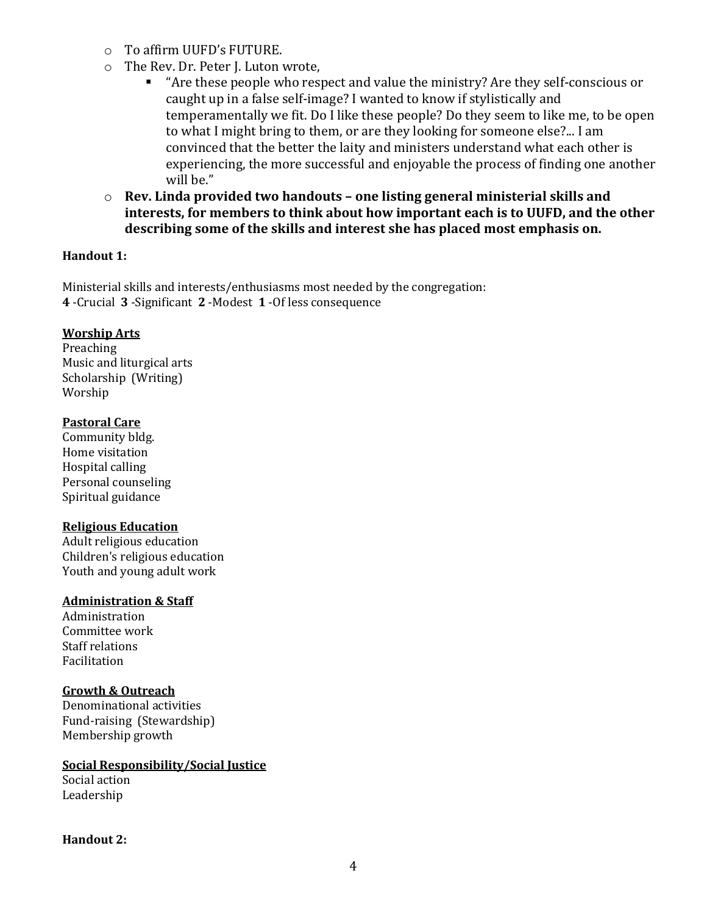- o To affirm UUFD's FUTURE.
- o The Rev. Dr. Peter J. Luton wrote,
	- "Are these people who respect and value the ministry? Are they self-conscious or caught up in a false self-image? I wanted to know if stylistically and temperamentally we fit. Do I like these people? Do they seem to like me, to be open to what I might bring to them, or are they looking for someone else?... I am convinced that the better the laity and ministers understand what each other is experiencing, the more successful and enjoyable the process of finding one another will be."
- o **Rev. Linda provided two handouts – one listing general ministerial skills and interests, for members to think about how important each is to UUFD, and the other describing some of the skills and interest she has placed most emphasis on.**

#### **Handout 1:**

Ministerial skills and interests/enthusiasms most needed by the congregation: **4** -Crucial **3** -Significant **2** -Modest **1** -Of less consequence

#### **Worship Arts**

Preaching Music and liturgical arts Scholarship (Writing) Worship

#### **Pastoral Care**

Community bldg. Home visitation Hospital calling Personal counseling Spiritual guidance

#### **Religious Education**

Adult religious education Children's religious education Youth and young adult work

#### **Administration & Staff**

Administration Committee work Staff relations Facilitation

#### **Growth & Outreach**

Denominational activities Fund-raising (Stewardship) Membership growth

**Social Responsibility/Social Justice**

Social action Leadership

#### **Handout 2:**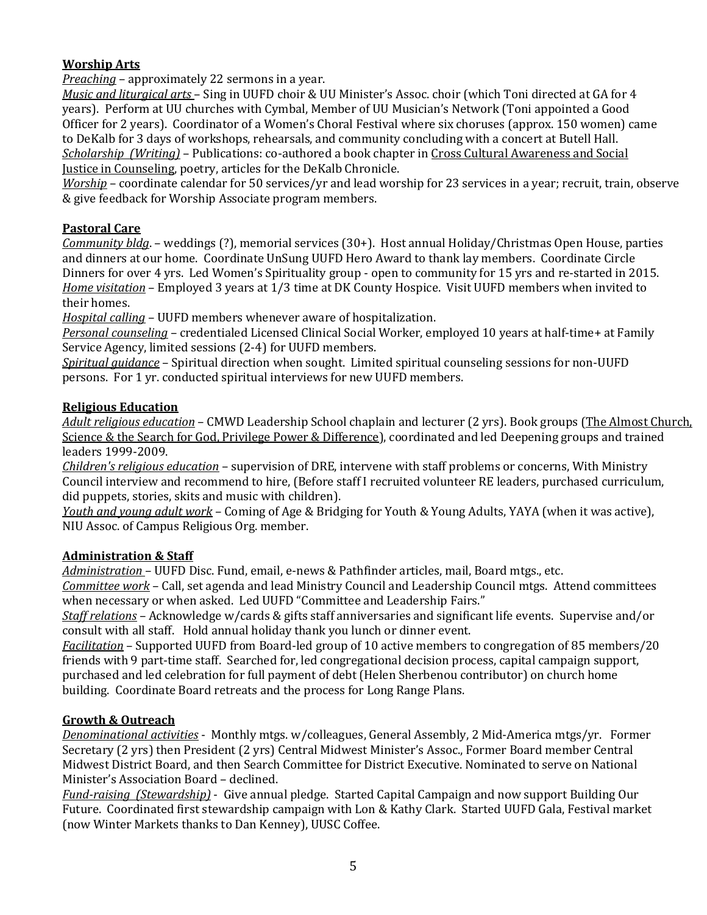### **Worship Arts**

*Preaching* – approximately 22 sermons in a year.

*Music and liturgical arts* – Sing in UUFD choir & UU Minister's Assoc. choir (which Toni directed at GA for 4 years). Perform at UU churches with Cymbal, Member of UU Musician's Network (Toni appointed a Good Officer for 2 years). Coordinator of a Women's Choral Festival where six choruses (approx. 150 women) came to DeKalb for 3 days of workshops, rehearsals, and community concluding with a concert at Butell Hall. *Scholarship (Writing)* – Publications: co-authored a book chapter in Cross Cultural Awareness and Social Justice in Counseling, poetry, articles for the DeKalb Chronicle.

*Worship* – coordinate calendar for 50 services/yr and lead worship for 23 services in a year; recruit, train, observe & give feedback for Worship Associate program members.

#### **Pastoral Care**

*Community bldg*. – weddings (?), memorial services (30+). Host annual Holiday/Christmas Open House, parties and dinners at our home. Coordinate UnSung UUFD Hero Award to thank lay members. Coordinate Circle Dinners for over 4 yrs. Led Women's Spirituality group - open to community for 15 yrs and re-started in 2015. *Home visitation* – Employed 3 years at 1/3 time at DK County Hospice. Visit UUFD members when invited to their homes.

*Hospital calling* – UUFD members whenever aware of hospitalization.

*Personal counseling* – credentialed Licensed Clinical Social Worker, employed 10 years at half-time+ at Family Service Agency, limited sessions (2-4) for UUFD members.

*Spiritual guidance* – Spiritual direction when sought. Limited spiritual counseling sessions for non-UUFD persons. For 1 yr. conducted spiritual interviews for new UUFD members.

#### **Religious Education**

*Adult religious education* – CMWD Leadership School chaplain and lecturer (2 yrs). Book groups (The Almost Church, Science & the Search for God, Privilege Power & Difference), coordinated and led Deepening groups and trained leaders 1999-2009.

*Children's religious education* – supervision of DRE, intervene with staff problems or concerns, With Ministry Council interview and recommend to hire, (Before staff I recruited volunteer RE leaders, purchased curriculum, did puppets, stories, skits and music with children).

*Youth and young adult work* – Coming of Age & Bridging for Youth & Young Adults, YAYA (when it was active), NIU Assoc. of Campus Religious Org. member.

#### **Administration & Staff**

*Administration* – UUFD Disc. Fund, email, e-news & Pathfinder articles, mail, Board mtgs., etc.

*Committee work* – Call, set agenda and lead Ministry Council and Leadership Council mtgs. Attend committees when necessary or when asked. Led UUFD "Committee and Leadership Fairs."

*Staff relations* – Acknowledge w/cards & gifts staff anniversaries and significant life events. Supervise and/or consult with all staff. Hold annual holiday thank you lunch or dinner event.

*Facilitation* – Supported UUFD from Board-led group of 10 active members to congregation of 85 members/20 friends with 9 part-time staff. Searched for, led congregational decision process, capital campaign support, purchased and led celebration for full payment of debt (Helen Sherbenou contributor) on church home building. Coordinate Board retreats and the process for Long Range Plans.

#### **Growth & Outreach**

*Denominational activities* - Monthly mtgs. w/colleagues, General Assembly, 2 Mid-America mtgs/yr. Former Secretary (2 yrs) then President (2 yrs) Central Midwest Minister's Assoc., Former Board member Central Midwest District Board, and then Search Committee for District Executive. Nominated to serve on National Minister's Association Board – declined.

*Fund-raising (Stewardship)* - Give annual pledge. Started Capital Campaign and now support Building Our Future. Coordinated first stewardship campaign with Lon & Kathy Clark. Started UUFD Gala, Festival market (now Winter Markets thanks to Dan Kenney), UUSC Coffee.